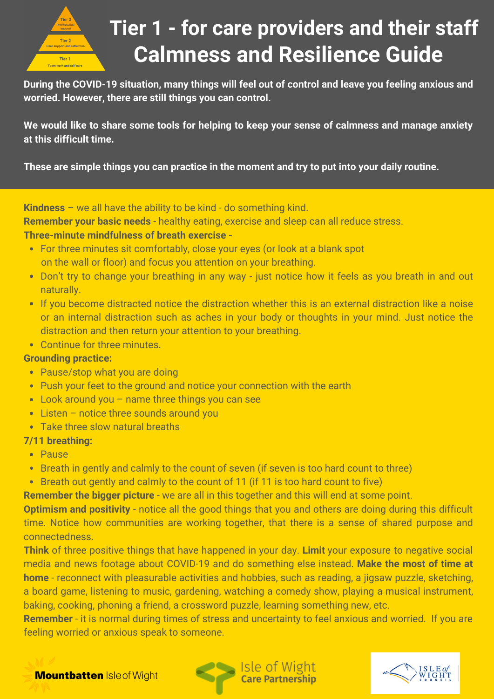

### **Calmness and Resilience Guide Tier 1 - for care providers and their staff**

**During the COVID-19 situation, many things will feel out of control and leave you feeling anxious and worried. However, there are still things you can control.**

**We would like to share some tools for helping to keep your sense of calmness and manage anxiety at this difficult time.**

**These are simple things you can practice in the moment and try to put into your daily routine.**

**Kindness** – we all have the ability to be kind - do something kind.

**Remember your basic needs** - healthy eating, exercise and sleep can all reduce stress.

#### **Three-minute mindfulness of breath exercise -**

- For three minutes sit comfortably, close your eyes (or look at a blank spot on the wall or floor) and focus you attention on your breathing.
- Don't try to change your breathing in any way just notice how it feels as you breath in and out naturally.
- If you become distracted notice the distraction whether this is an external distraction like a noise or an internal distraction such as aches in your body or thoughts in your mind. Just notice the distraction and then return your attention to your breathing.
- Continue for three minutes.

#### **Grounding practice:**

- Pause/stop what you are doing
- Push your feet to the ground and notice your connection with the earth
- Look around you name three things you can see
- Listen notice three sounds around you
- Take three slow natural breaths

#### **7/11 breathing:**

- Pause
- Breath in gently and calmly to the count of seven (if seven is too hard count to three)
- Breath out gently and calmly to the count of 11 (if 11 is too hard count to five)

**Remember the bigger picture** - we are all in this together and this will end at some point.

**Optimism and positivity** - notice all the good things that you and others are doing during this difficult time. Notice how communities are working together, that there is a sense of shared purpose and connectedness.

**Think** of three positive things that have happened in your day. **Limit** your exposure to negative social media and news footage about COVID-19 and do something else instead. **Make the most of time at home** - reconnect with pleasurable activities and hobbies, such as reading, a jigsaw puzzle, sketching, a board game, listening to music, gardening, watching a comedy show, playing a musical instrument, baking, cooking, phoning a friend, a crossword puzzle, learning something new, etc.

**Remember** - it is normal during times of stress and uncertainty to feel anxious and worried. If you are feeling worried or anxious speak to someone.



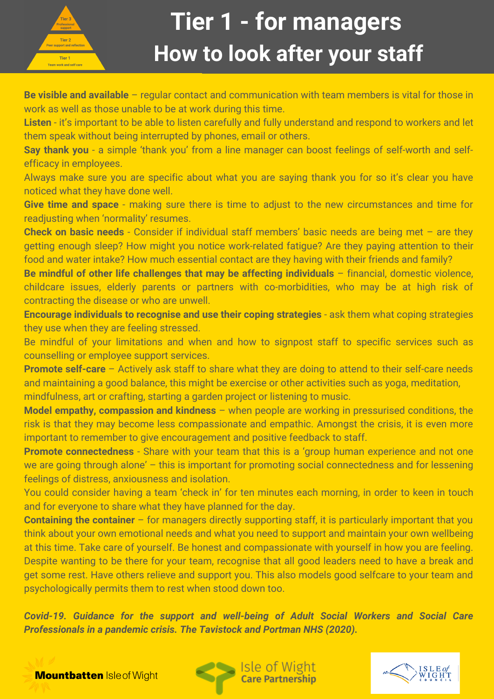

# **How to look after your staff Tier 1 - for managers**

**Be visible and available** – regular contact and communication with team members is vital for those in work as well as those unable to be at work during this time.

**Listen** - it's important to be able to listen carefully and fully understand and respond to workers and let them speak without being interrupted by phones, email or others.

**Say thank you** - a simple 'thank you' from a line manager can boost feelings of self-worth and selfefficacy in employees.

Always make sure you are specific about what you are saying thank you for so it's clear you have noticed what they have done well.

**Give time and space** - making sure there is time to adjust to the new circumstances and time for readjusting when 'normality' resumes.

**Check on basic needs** - Consider if individual staff members' basic needs are being met – are they getting enough sleep? How might you notice work-related fatigue? Are they paying attention to their food and water intake? How much essential contact are they having with their friends and family?

**Be mindful of other life challenges that may be affecting individuals** – financial, domestic violence, childcare issues, elderly parents or partners with co-morbidities, who may be at high risk of contracting the disease or who are unwell.

**Encourage individuals to recognise and use their coping strategies** - ask them what coping strategies they use when they are feeling stressed.

Be mindful of your limitations and when and how to signpost staff to specific services such as counselling or employee support services.

**Promote self-care** – Actively ask staff to share what they are doing to attend to their self-care needs and maintaining a good balance, this might be exercise or other activities such as yoga, meditation, mindfulness, art or crafting, starting a garden project or listening to music.

**Model empathy, compassion and kindness** – when people are working in pressurised conditions, the risk is that they may become less compassionate and empathic. Amongst the crisis, it is even more important to remember to give encouragement and positive feedback to staff.

**Promote connectedness** - Share with your team that this is a 'group human experience and not one we are going through alone' – this is important for promoting social connectedness and for lessening feelings of distress, anxiousness and isolation.

You could consider having a team 'check in' for ten minutes each morning, in order to keen in touch and for everyone to share what they have planned for the day.

**Containing the container** – for managers directly supporting staff, it is particularly important that you think about your own emotional needs and what you need to support and maintain your own wellbeing at this time. Take care of yourself. Be honest and compassionate with yourself in how you are feeling. Despite wanting to be there for your team, recognise that all good leaders need to have a break and get some rest. Have others relieve and support you. This also models good selfcare to your team and psychologically permits them to rest when stood down too.

*Covid-19. Guidance for the support and well-being of Adult Social Workers and Social Care Professionals in a pandemic crisis. The Tavistock and Portman NHS (2020).*

**Mountbatten Isle of Wight** 



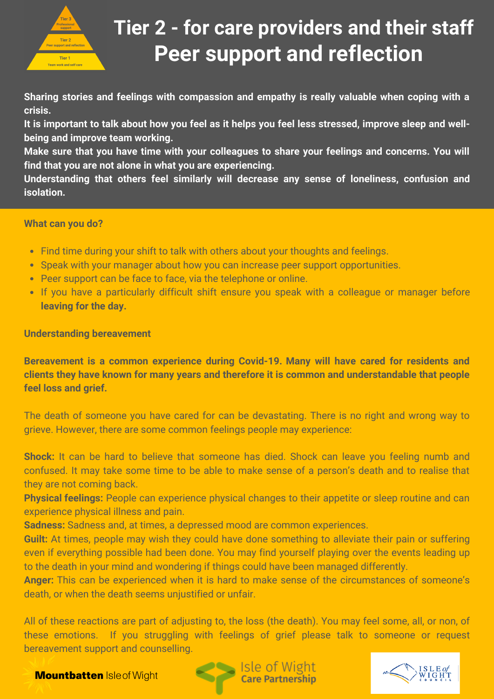

### **Peer support and reflection Tier 2 - for care providers and their staff**

**Sharing stories and feelings with compassion and empathy is really valuable when coping with a crisis.** 

**It is important to talk about how you feel as it helps you feel less stressed, improve sleep and wellbeing and improve team working.**

**Make sure that you have time with your colleagues to share your feelings and concerns. You will find that you are not alone in what you are experiencing.**

**Understanding that others feel similarly will decrease any sense of loneliness, confusion and isolation.**

#### **What can you do?**

- Find time during your shift to talk with others about your thoughts and feelings.
- Speak with your manager about how you can increase peer support opportunities.
- Peer support can be face to face, via the telephone or online.
- If you have a particularly difficult shift ensure you speak with a colleague or manager before **leaving for the day.**

**Understanding bereavement**

**Bereavement is a common experience during Covid-19. Many will have cared for residents and clients they have known for many years and therefore it is common and understandable that people feel loss and grief.**

The death of someone you have cared for can be devastating. There is no right and wrong way to grieve. However, there are some common feelings people may experience:

**Shock:** It can be hard to believe that someone has died. Shock can leave you feeling numb and confused. It may take some time to be able to make sense of a person's death and to realise that they are not coming back.

**Physical feelings:** People can experience physical changes to their appetite or sleep routine and can experience physical illness and pain.

**Sadness:** Sadness and, at times, a depressed mood are common experiences.

**Guilt:** At times, people may wish they could have done something to alleviate their pain or suffering even if everything possible had been done. You may find yourself playing over the events leading up to the death in your mind and wondering if things could have been managed differently.

**Anger:** This can be experienced when it is hard to make sense of the circumstances of someone's death, or when the death seems unjustified or unfair.

All of these reactions are part of adjusting to, the loss (the death). You may feel some, all, or non, of these emotions. If you struggling with feelings of grief please talk to someone or request bereavement support and counselling.

**Mountbatten Isleof Wight** 



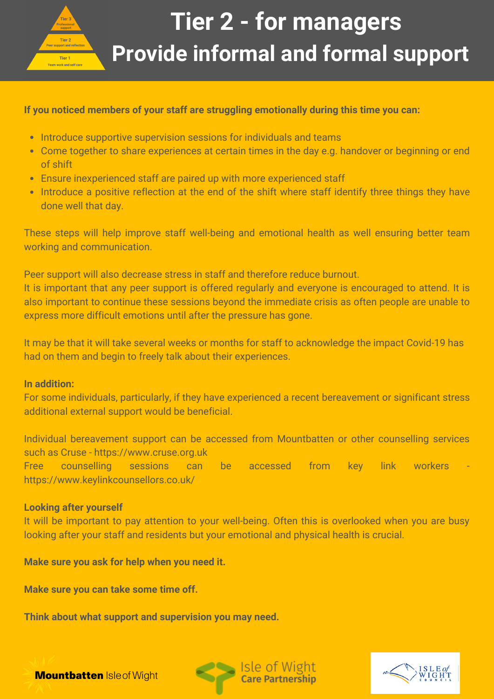

# **Provide informal and formal support Tier 2 - for managers**

#### **If you noticed members of your staff are struggling emotionally during this time you can:**

- Introduce supportive supervision sessions for individuals and teams
- Come together to share experiences at certain times in the day e.g. handover or beginning or end of shift
- Ensure inexperienced staff are paired up with more experienced staff
- Introduce a positive reflection at the end of the shift where staff identify three things they have done well that day.

These steps will help improve staff well-being and emotional health as well ensuring better team working and communication.

Peer support will also decrease stress in staff and therefore reduce burnout. It is important that any peer support is offered regularly and everyone is encouraged to attend. It is also important to continue these sessions beyond the immediate crisis as often people are unable to express more difficult emotions until after the pressure has gone.

It may be that it will take several weeks or months for staff to acknowledge the impact Covid-19 has had on them and begin to freely talk about their experiences.

#### **In addition:**

For some individuals, particularly, if they have experienced a recent bereavement or significant stress additional external support would be beneficial.

Individual bereavement support can be accessed from Mountbatten or other counselling services such as Cruse - https://www.cruse.org.uk Free counselling sessions can be accessed from key link workers https://www.keylinkcounsellors.co.uk/

#### **Looking after yourself**

It will be important to pay attention to your well-being. Often this is overlooked when you are busy looking after your staff and residents but your emotional and physical health is crucial.

**Make sure you ask for help when you need it.**

**Make sure you can take some time off.**

**Think about what support and supervision you may need.**



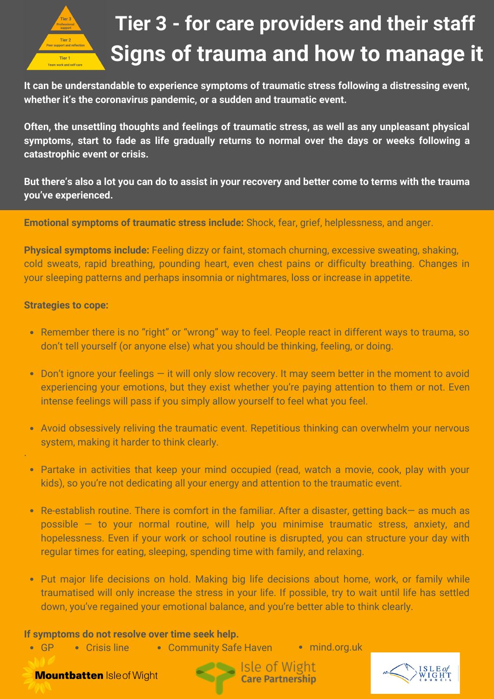

### **Signs of trauma and how to manage it Tier 3 - for care providers and their staff**

**It can be understandable to experience symptoms of traumatic stress following a distressing event, whether it's the coronavirus pandemic, or a sudden and traumatic event.**

**Often, the unsettling thoughts and feelings of traumatic stress, as well as any unpleasant physical symptoms, start to fade as life gradually returns to normal over the days or weeks following a catastrophic event or crisis.**

**But there's also a lot you can do to assist in your recovery and better come to terms with the trauma you've experienced.**

**Emotional symptoms of traumatic stress include:** Shock, fear, grief, helplessness, and anger.

**Physical symptoms include:** Feeling dizzy or faint, stomach churning, excessive sweating, shaking, cold sweats, rapid breathing, pounding heart, even chest pains or difficulty breathing. Changes in your sleeping patterns and perhaps insomnia or nightmares, loss or increase in appetite.

#### **Strategies to cope:**

·

- Remember there is no "right" or "wrong" way to feel. People react in different ways to trauma, so don't tell yourself (or anyone else) what you should be thinking, feeling, or doing.
- Don't ignore your feelings it will only slow recovery. It may seem better in the moment to avoid experiencing your emotions, but they exist whether you're paying attention to them or not. Even intense feelings will pass if you simply allow yourself to feel what you feel.
- Avoid obsessively reliving the traumatic event. Repetitious thinking can overwhelm your nervous system, making it harder to think clearly.
- Partake in activities that keep your mind occupied (read, watch a movie, cook, play with your kids), so you're not dedicating all your energy and attention to the traumatic event.
- Re-establish routine. There is comfort in the familiar. After a disaster, getting back— as much as possible  $-$  to your normal routine, will help you minimise traumatic stress, anxiety, and hopelessness. Even if your work or school routine is disrupted, you can structure your day with regular times for eating, sleeping, spending time with family, and relaxing.
- Put major life decisions on hold. Making big life decisions about home, work, or family while traumatised will only increase the stress in your life. If possible, try to wait until life has settled down, you've regained your emotional balance, and you're better able to think clearly.

#### **If symptoms do not resolve over time seek help.**

 $-GP$ • Crisis line • Community Safe Haven • mind.org.uk

**Mountbatten Isleof Wight** 

Isle of Wight **Care Partnership**